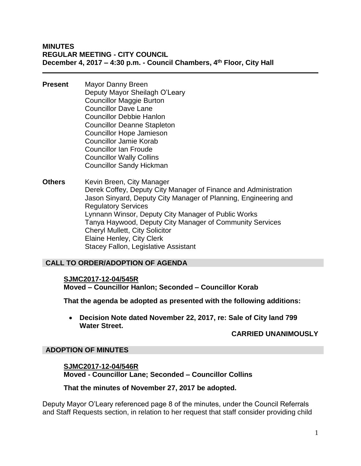- **Present** Mayor Danny Breen Deputy Mayor Sheilagh O'Leary Councillor Maggie Burton Councillor Dave Lane Councillor Debbie Hanlon Councillor Deanne Stapleton Councillor Hope Jamieson Councillor Jamie Korab Councillor Ian Froude Councillor Wally Collins Councillor Sandy Hickman
- **Others** Kevin Breen, City Manager Derek Coffey, Deputy City Manager of Finance and Administration Jason Sinyard, Deputy City Manager of Planning, Engineering and Regulatory Services Lynnann Winsor, Deputy City Manager of Public Works Tanya Haywood, Deputy City Manager of Community Services Cheryl Mullett, City Solicitor Elaine Henley, City Clerk Stacey Fallon, Legislative Assistant

# **CALL TO ORDER/ADOPTION OF AGENDA**

#### **SJMC2017-12-04/545R**

**Moved – Councillor Hanlon; Seconded – Councillor Korab**

**That the agenda be adopted as presented with the following additions:**

 **Decision Note dated November 22, 2017, re: Sale of City land 799 Water Street.**

# **CARRIED UNANIMOUSLY**

# **ADOPTION OF MINUTES**

#### **SJMC2017-12-04/546R Moved - Councillor Lane; Seconded – Councillor Collins**

#### **That the minutes of November 27, 2017 be adopted.**

Deputy Mayor O'Leary referenced page 8 of the minutes, under the Council Referrals and Staff Requests section, in relation to her request that staff consider providing child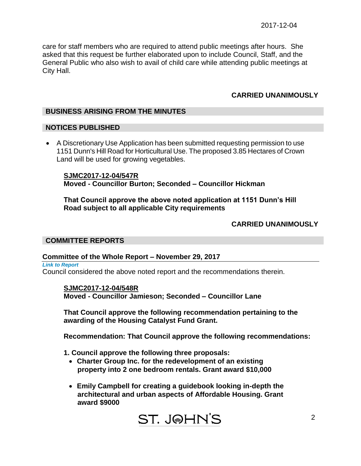care for staff members who are required to attend public meetings after hours. She asked that this request be further elaborated upon to include Council, Staff, and the General Public who also wish to avail of child care while attending public meetings at City Hall.

# **CARRIED UNANIMOUSLY**

# **BUSINESS ARISING FROM THE MINUTES**

#### **NOTICES PUBLISHED**

 A Discretionary Use Application has been submitted requesting permission to use 1151 Dunn's Hill Road for Horticultural Use. The proposed 3.85 Hectares of Crown Land will be used for growing vegetables.

**SJMC2017-12-04/547R Moved - Councillor Burton; Seconded – Councillor Hickman**

**That Council approve the above noted application at 1151 Dunn's Hill Road subject to all applicable City requirements**

#### **CARRIED UNANIMOUSLY**

#### **COMMITTEE REPORTS**

#### **Committee of the Whole Report – November 29, 2017**

*Link to Report*  Council considered the above noted report and the recommendations therein.

#### **SJMC2017-12-04/548R**

**Moved - Councillor Jamieson; Seconded – Councillor Lane**

**That Council approve the following recommendation pertaining to the awarding of the Housing Catalyst Fund Grant.**

**Recommendation: That Council approve the following recommendations:**

**1. Council approve the following three proposals:**

- **Charter Group Inc. for the redevelopment of an existing property into 2 one bedroom rentals. Grant award \$10,000**
- **Emily Campbell for creating a guidebook looking in-depth the architectural and urban aspects of Affordable Housing. Grant award \$9000**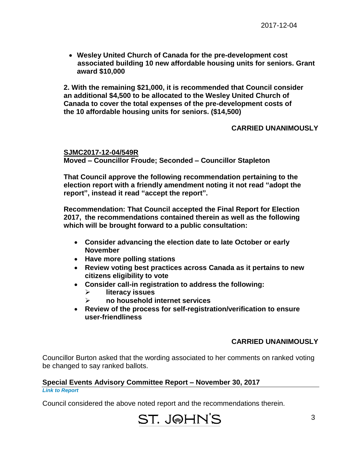**Wesley United Church of Canada for the pre-development cost associated building 10 new affordable housing units for seniors. Grant award \$10,000**

**2. With the remaining \$21,000, it is recommended that Council consider an additional \$4,500 to be allocated to the Wesley United Church of Canada to cover the total expenses of the pre-development costs of the 10 affordable housing units for seniors. (\$14,500)**

# **CARRIED UNANIMOUSLY**

**SJMC2017-12-04/549R Moved – Councillor Froude; Seconded – Councillor Stapleton**

**That Council approve the following recommendation pertaining to the election report with a friendly amendment noting it not read "adopt the report", instead it read "accept the report".**

**Recommendation: That Council accepted the Final Report for Election 2017, the recommendations contained therein as well as the following which will be brought forward to a public consultation:**

- **Consider advancing the election date to late October or early November**
- **Have more polling stations**
- **Review voting best practices across Canada as it pertains to new citizens eligibility to vote**
- **Consider call-in registration to address the following:**
	- **literacy issues**
	- **no household internet services**
- **Review of the process for self-registration/verification to ensure user-friendliness**

#### **CARRIED UNANIMOUSLY**

Councillor Burton asked that the wording associated to her comments on ranked voting be changed to say ranked ballots.

# **Special Events Advisory Committee Report – November 30, 2017**

*Link to Report* 

Council considered the above noted report and the recommendations therein.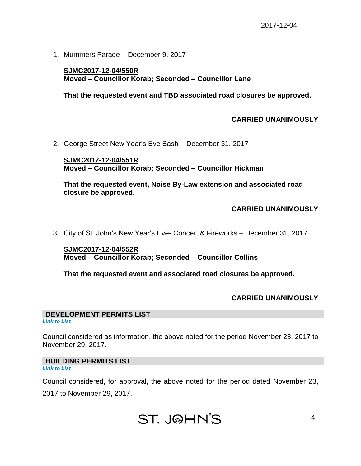1. Mummers Parade – December 9, 2017

#### **SJMC2017-12-04/550R Moved – Councillor Korab; Seconded – Councillor Lane**

**That the requested event and TBD associated road closures be approved.**

#### **CARRIED UNANIMOUSLY**

2. George Street New Year's Eve Bash – December 31, 2017

**SJMC2017-12-04/551R Moved – Councillor Korab; Seconded – Councillor Hickman**

**That the requested event, Noise By-Law extension and associated road closure be approved.**

#### **CARRIED UNANIMOUSLY**

3. City of St. John's New Year's Eve- Concert & Fireworks – December 31, 2017

**SJMC2017-12-04/552R Moved – Councillor Korab; Seconded – Councillor Collins**

**That the requested event and associated road closures be approved.**

# **CARRIED UNANIMOUSLY**

4

# **DEVELOPMENT PERMITS LIST**

*Link to List*

Council considered as information, the above noted for the period November 23, 2017 to November 29, 2017.

#### **BUILDING PERMITS LIST**

*Link to List*

Council considered, for approval, the above noted for the period dated November 23,

2017 to November 29, 2017.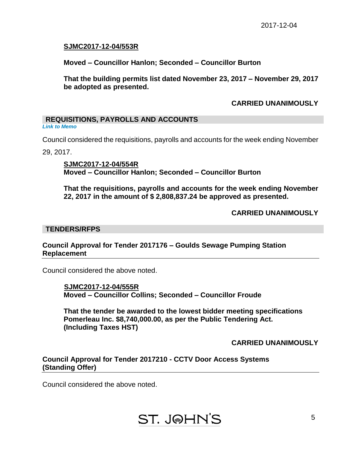# **SJMC2017-12-04/553R**

**Moved – Councillor Hanlon; Seconded – Councillor Burton**

**That the building permits list dated November 23, 2017 – November 29, 2017 be adopted as presented.**

# **CARRIED UNANIMOUSLY**

# **REQUISITIONS, PAYROLLS AND ACCOUNTS**

*Link to Memo*

Council considered the requisitions, payrolls and accounts for the week ending November

29, 2017.

**SJMC2017-12-04/554R Moved – Councillor Hanlon; Seconded – Councillor Burton**

**That the requisitions, payrolls and accounts for the week ending November 22, 2017 in the amount of \$ 2,808,837.24 be approved as presented.**

# **CARRIED UNANIMOUSLY**

#### **TENDERS/RFPS**

#### **Council Approval for Tender 2017176 – Goulds Sewage Pumping Station Replacement**

Council considered the above noted.

 **SJMC2017-12-04/555R Moved – Councillor Collins; Seconded – Councillor Froude**

**That the tender be awarded to the lowest bidder meeting specifications Pomerleau Inc. \$8,740,000.00, as per the Public Tendering Act. (Including Taxes HST)**

**CARRIED UNANIMOUSLY**

# **Council Approval for Tender 2017210 - CCTV Door Access Systems (Standing Offer)**

Council considered the above noted.

# **ST. J@HN'S**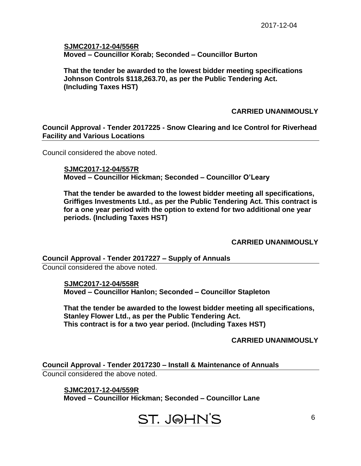# **SJMC2017-12-04/556R Moved – Councillor Korab; Seconded – Councillor Burton**

**That the tender be awarded to the lowest bidder meeting specifications Johnson Controls \$118,263.70, as per the Public Tendering Act. (Including Taxes HST)**

# **CARRIED UNANIMOUSLY**

**Council Approval - Tender 2017225 - Snow Clearing and Ice Control for Riverhead Facility and Various Locations**

Council considered the above noted.

 **SJMC2017-12-04/557R Moved – Councillor Hickman; Seconded – Councillor O'Leary**

**That the tender be awarded to the lowest bidder meeting all specifications, Griffiges Investments Ltd., as per the Public Tendering Act. This contract is for a one year period with the option to extend for two additional one year periods. (Including Taxes HST)**

# **CARRIED UNANIMOUSLY**

**Council Approval - Tender 2017227 – Supply of Annuals** Council considered the above noted.

> **SJMC2017-12-04/558R Moved – Councillor Hanlon; Seconded – Councillor Stapleton**

**That the tender be awarded to the lowest bidder meeting all specifications, Stanley Flower Ltd., as per the Public Tendering Act. This contract is for a two year period. (Including Taxes HST)**

**CARRIED UNANIMOUSLY**

**Council Approval - Tender 2017230 – Install & Maintenance of Annuals** Council considered the above noted.

 **SJMC2017-12-04/559R Moved – Councillor Hickman; Seconded – Councillor Lane**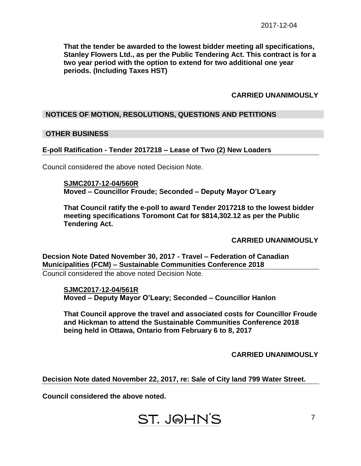**That the tender be awarded to the lowest bidder meeting all specifications, Stanley Flowers Ltd., as per the Public Tendering Act. This contract is for a two year period with the option to extend for two additional one year periods. (Including Taxes HST)**

# **CARRIED UNANIMOUSLY**

# **NOTICES OF MOTION, RESOLUTIONS, QUESTIONS AND PETITIONS**

#### **OTHER BUSINESS**

#### **E-poll Ratification - Tender 2017218 – Lease of Two (2) New Loaders**

Council considered the above noted Decision Note.

**SJMC2017-12-04/560R Moved – Councillor Froude; Seconded – Deputy Mayor O'Leary**

**That Council ratify the e-poll to award Tender 2017218 to the lowest bidder meeting specifications Toromont Cat for \$814,302.12 as per the Public Tendering Act.**

**CARRIED UNANIMOUSLY**

**Decsion Note Dated November 30, 2017 - Travel – Federation of Canadian Municipalities (FCM) – Sustainable Communities Conference 2018** Council considered the above noted Decision Note.

**SJMC2017-12-04/561R Moved – Deputy Mayor O'Leary; Seconded – Councillor Hanlon**

**That Council approve the travel and associated costs for Councillor Froude and Hickman to attend the Sustainable Communities Conference 2018 being held in Ottawa, Ontario from February 6 to 8, 2017**

**CARRIED UNANIMOUSLY**

**Decision Note dated November 22, 2017, re: Sale of City land 799 Water Street.**

**Council considered the above noted.**

# **ST. J@HN'S**